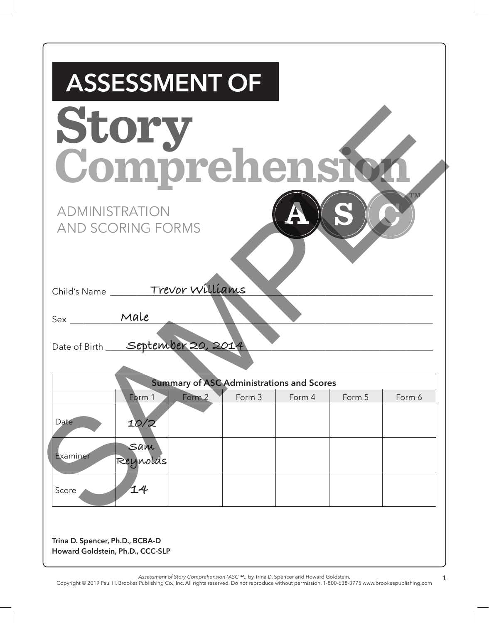| <b>ASSESSMENT OF</b>                                                            |        |        |        |        |
|---------------------------------------------------------------------------------|--------|--------|--------|--------|
| Story                                                                           |        |        |        |        |
|                                                                                 |        |        |        |        |
| Comprehensio                                                                    |        |        |        |        |
| <b>ADMINISTRATION</b>                                                           |        |        |        |        |
| <b>AND SCORING FORMS</b>                                                        |        |        |        |        |
|                                                                                 |        |        |        |        |
|                                                                                 |        |        |        |        |
| Child's Name _______Trevor Williams                                             |        |        |        |        |
| Sex ________ Male                                                               |        |        |        |        |
| Date of Birth September 20, 201                                                 |        |        |        |        |
|                                                                                 |        |        |        |        |
| <b>Summary of ASC Administrations and Scores</b><br>Form <sub>2</sub><br>Form 1 | Form 3 | Form 4 | Form 5 | Form 6 |
| Date<br>10/2                                                                    |        |        |        |        |
| Sam                                                                             |        |        |        |        |
| Examiner<br>Reynolds                                                            |        |        |        |        |
|                                                                                 |        |        |        |        |
| 14<br>Score                                                                     |        |        |        |        |

*Assessment of Story Comprehension (ASC™),* by Trina D. Spencer and Howard Goldstein.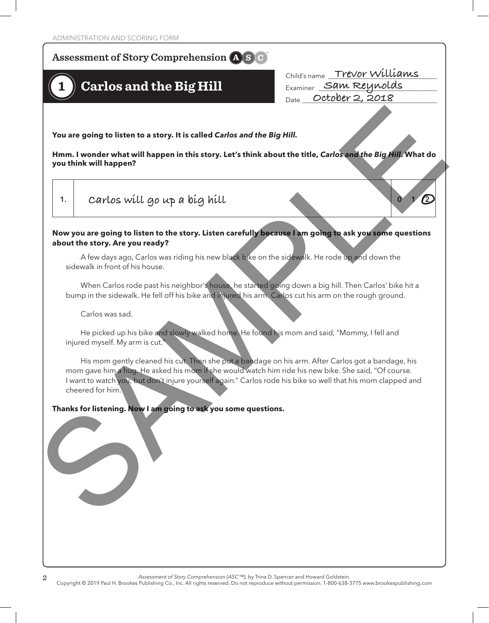## $\bf Assessment$  of  $\bf Story$  Comprehension  $\bf (A) \bf S$   $\bf C)$ **Story Comprehension**

## **1 Carlos and the Big Hill**

Child's name \_\_\_\_\_\_\_\_\_\_\_\_\_\_\_\_\_\_\_\_\_\_\_\_\_\_\_\_\_\_\_\_\_ **Trevor Williams** Examiner \_\_\_\_\_\_\_\_\_\_\_\_\_\_\_\_\_\_\_\_\_\_\_\_\_\_\_\_\_\_\_\_\_\_\_\_ **Sam Reynolds** Date \_\_\_\_\_\_\_\_\_\_\_\_\_\_\_\_\_\_\_\_\_\_\_\_\_\_\_\_\_\_\_\_\_\_\_\_\_\_\_\_\_ **October 2, 2018**

**You are going to listen to a story. It is called** *Carlos and the Big Hill.*

**Hmm. I wonder what will happen in this story. Let's think about the title,** *Carlos and the Big Hill***. What do you think will happen?**

**1. 0 1 2 Carlos will go up a big hill O**

## **Now you are going to listen to the story. Listen carefully because I am going to ask you some questions about the story. Are you ready?**

A few days ago, Carlos was riding his new black bike on the sidewalk. He rode up and down the sidewalk in front of his house.

When Carlos rode past his neighbor's house, he started going down a big hill. Then Carlos' bike hit a bump in the sidewalk. He fell off his bike and injured his arm. Carlos cut his arm on the rough ground.

Carlos was sad.

He picked up his bike and slowly walked home. He found his mom and said, "Mommy, I fell and injured myself. My arm is cut.

His mom gently cleaned his cut. Then she put a bandage on his arm. After Carlos got a bandage, his mom gave him a hug. He asked his mom if she would watch him ride his new bike. She said, "Of course. I want to watch you, but don't injure yourself again." Carlos rode his bike so well that his mom clapped and cheered for him. You are going to listen to a story. It is called *Carlos and the Big Hill.*<br>
Hmm. I wonder what will happen in this atory. Let's think about the title, *Carlos and the Big Hill*<br>
you think will happen?<br>
1.<br>
C*ATLOS Will Q* 

## **Thanks for listening. Now I am going to ask you some questions.**

*Assessment of Story Comprehension (ASC™),* by Trina D. Spencer and Howard Goldstein.